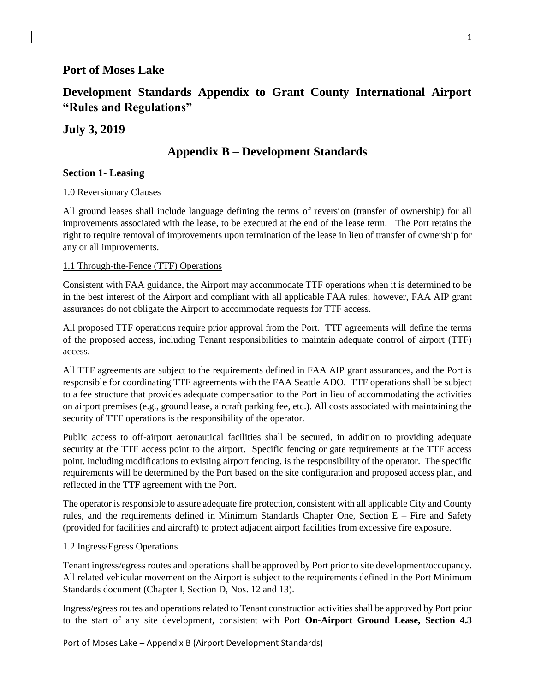# **Port of Moses Lake**

# **Development Standards Appendix to Grant County International Airport "Rules and Regulations"**

## **July 3, 2019**

# **Appendix B – Development Standards**

#### **Section 1- Leasing**

#### 1.0 Reversionary Clauses

All ground leases shall include language defining the terms of reversion (transfer of ownership) for all improvements associated with the lease, to be executed at the end of the lease term. The Port retains the right to require removal of improvements upon termination of the lease in lieu of transfer of ownership for any or all improvements.

#### 1.1 Through-the-Fence (TTF) Operations

Consistent with FAA guidance, the Airport may accommodate TTF operations when it is determined to be in the best interest of the Airport and compliant with all applicable FAA rules; however, FAA AIP grant assurances do not obligate the Airport to accommodate requests for TTF access.

All proposed TTF operations require prior approval from the Port. TTF agreements will define the terms of the proposed access, including Tenant responsibilities to maintain adequate control of airport (TTF) access.

All TTF agreements are subject to the requirements defined in FAA AIP grant assurances, and the Port is responsible for coordinating TTF agreements with the FAA Seattle ADO. TTF operations shall be subject to a fee structure that provides adequate compensation to the Port in lieu of accommodating the activities on airport premises (e.g., ground lease, aircraft parking fee, etc.). All costs associated with maintaining the security of TTF operations is the responsibility of the operator.

Public access to off-airport aeronautical facilities shall be secured, in addition to providing adequate security at the TTF access point to the airport. Specific fencing or gate requirements at the TTF access point, including modifications to existing airport fencing, is the responsibility of the operator. The specific requirements will be determined by the Port based on the site configuration and proposed access plan, and reflected in the TTF agreement with the Port.

The operator is responsible to assure adequate fire protection, consistent with all applicable City and County rules, and the requirements defined in Minimum Standards Chapter One, Section E – Fire and Safety (provided for facilities and aircraft) to protect adjacent airport facilities from excessive fire exposure.

#### 1.2 Ingress/Egress Operations

Tenant ingress/egress routes and operations shall be approved by Port prior to site development/occupancy. All related vehicular movement on the Airport is subject to the requirements defined in the Port Minimum Standards document (Chapter I, Section D, Nos. 12 and 13).

Ingress/egress routes and operations related to Tenant construction activities shall be approved by Port prior to the start of any site development, consistent with Port **On-Airport Ground Lease, Section 4.3**

Port of Moses Lake – Appendix B (Airport Development Standards)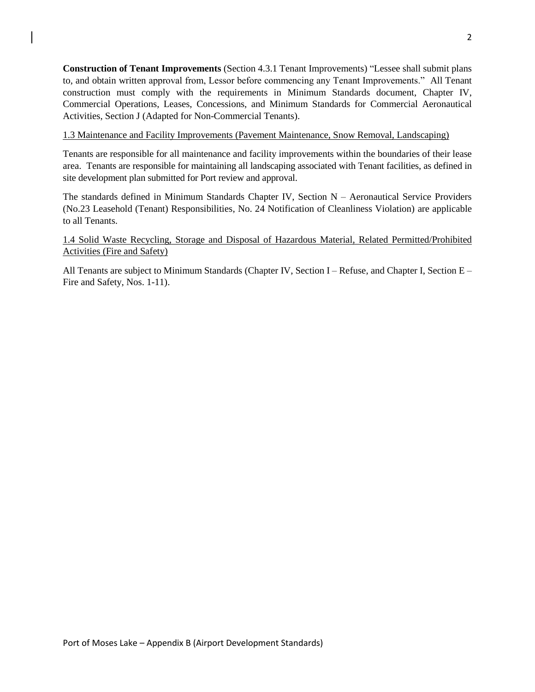**Construction of Tenant Improvements** (Section 4.3.1 Tenant Improvements) "Lessee shall submit plans to, and obtain written approval from, Lessor before commencing any Tenant Improvements." All Tenant construction must comply with the requirements in Minimum Standards document, Chapter IV, Commercial Operations, Leases, Concessions, and Minimum Standards for Commercial Aeronautical Activities, Section J (Adapted for Non-Commercial Tenants).

1.3 Maintenance and Facility Improvements (Pavement Maintenance, Snow Removal, Landscaping)

Tenants are responsible for all maintenance and facility improvements within the boundaries of their lease area. Tenants are responsible for maintaining all landscaping associated with Tenant facilities, as defined in site development plan submitted for Port review and approval.

The standards defined in Minimum Standards Chapter IV, Section N – Aeronautical Service Providers (No.23 Leasehold (Tenant) Responsibilities, No. 24 Notification of Cleanliness Violation) are applicable to all Tenants.

1.4 Solid Waste Recycling, Storage and Disposal of Hazardous Material, Related Permitted/Prohibited Activities (Fire and Safety)

All Tenants are subject to Minimum Standards (Chapter IV, Section I – Refuse, and Chapter I, Section E – Fire and Safety, Nos. 1-11).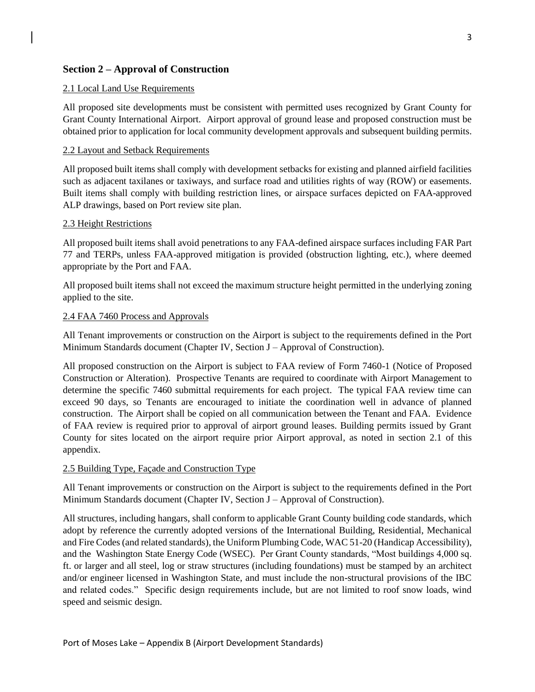### **Section 2 – Approval of Construction**

#### 2.1 Local Land Use Requirements

All proposed site developments must be consistent with permitted uses recognized by Grant County for Grant County International Airport. Airport approval of ground lease and proposed construction must be obtained prior to application for local community development approvals and subsequent building permits.

#### 2.2 Layout and Setback Requirements

All proposed built items shall comply with development setbacks for existing and planned airfield facilities such as adjacent taxilanes or taxiways, and surface road and utilities rights of way (ROW) or easements. Built items shall comply with building restriction lines, or airspace surfaces depicted on FAA-approved ALP drawings, based on Port review site plan.

#### 2.3 Height Restrictions

All proposed built items shall avoid penetrations to any FAA-defined airspace surfaces including FAR Part 77 and TERPs, unless FAA-approved mitigation is provided (obstruction lighting, etc.), where deemed appropriate by the Port and FAA.

All proposed built items shall not exceed the maximum structure height permitted in the underlying zoning applied to the site.

#### 2.4 FAA 7460 Process and Approvals

All Tenant improvements or construction on the Airport is subject to the requirements defined in the Port Minimum Standards document (Chapter IV, Section J – Approval of Construction).

All proposed construction on the Airport is subject to FAA review of Form 7460-1 (Notice of Proposed Construction or Alteration). Prospective Tenants are required to coordinate with Airport Management to determine the specific 7460 submittal requirements for each project. The typical FAA review time can exceed 90 days, so Tenants are encouraged to initiate the coordination well in advance of planned construction. The Airport shall be copied on all communication between the Tenant and FAA. Evidence of FAA review is required prior to approval of airport ground leases. Building permits issued by Grant County for sites located on the airport require prior Airport approval, as noted in section 2.1 of this appendix.

### 2.5 Building Type, Façade and Construction Type

All Tenant improvements or construction on the Airport is subject to the requirements defined in the Port Minimum Standards document (Chapter IV, Section J – Approval of Construction).

All structures, including hangars, shall conform to applicable Grant County building code standards, which adopt by reference the currently adopted versions of the International Building, Residential, Mechanical and Fire Codes (and related standards), the Uniform Plumbing Code, WAC 51-20 (Handicap Accessibility), and the Washington State Energy Code (WSEC). Per Grant County standards, "Most buildings 4,000 sq. ft. or larger and all steel, log or straw structures (including foundations) must be stamped by an architect and/or engineer licensed in Washington State, and must include the non-structural provisions of the IBC and related codes." Specific design requirements include, but are not limited to roof snow loads, wind speed and seismic design.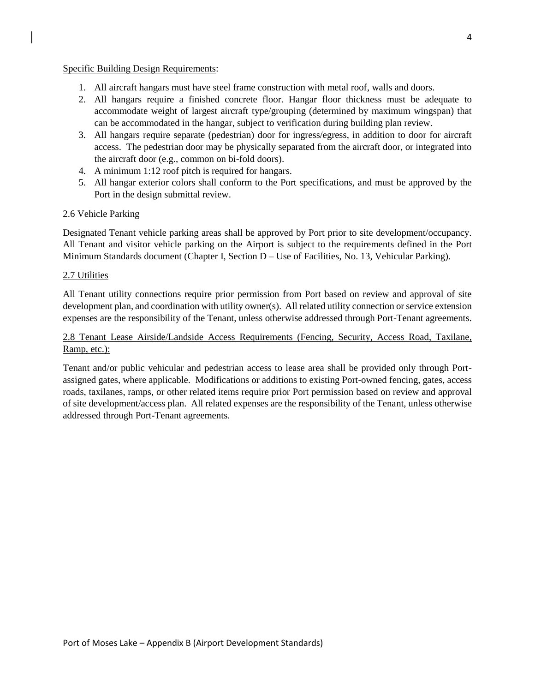#### Specific Building Design Requirements:

- 1. All aircraft hangars must have steel frame construction with metal roof, walls and doors.
- 2. All hangars require a finished concrete floor. Hangar floor thickness must be adequate to accommodate weight of largest aircraft type/grouping (determined by maximum wingspan) that can be accommodated in the hangar, subject to verification during building plan review.
- 3. All hangars require separate (pedestrian) door for ingress/egress, in addition to door for aircraft access. The pedestrian door may be physically separated from the aircraft door, or integrated into the aircraft door (e.g., common on bi-fold doors).
- 4. A minimum 1:12 roof pitch is required for hangars.
- 5. All hangar exterior colors shall conform to the Port specifications, and must be approved by the Port in the design submittal review.

#### 2.6 Vehicle Parking

Designated Tenant vehicle parking areas shall be approved by Port prior to site development/occupancy. All Tenant and visitor vehicle parking on the Airport is subject to the requirements defined in the Port Minimum Standards document (Chapter I, Section D – Use of Facilities, No. 13, Vehicular Parking).

#### 2.7 Utilities

All Tenant utility connections require prior permission from Port based on review and approval of site development plan, and coordination with utility owner(s). All related utility connection or service extension expenses are the responsibility of the Tenant, unless otherwise addressed through Port-Tenant agreements.

### 2.8 Tenant Lease Airside/Landside Access Requirements (Fencing, Security, Access Road, Taxilane, Ramp, etc.):

Tenant and/or public vehicular and pedestrian access to lease area shall be provided only through Portassigned gates, where applicable. Modifications or additions to existing Port-owned fencing, gates, access roads, taxilanes, ramps, or other related items require prior Port permission based on review and approval of site development/access plan. All related expenses are the responsibility of the Tenant, unless otherwise addressed through Port-Tenant agreements.